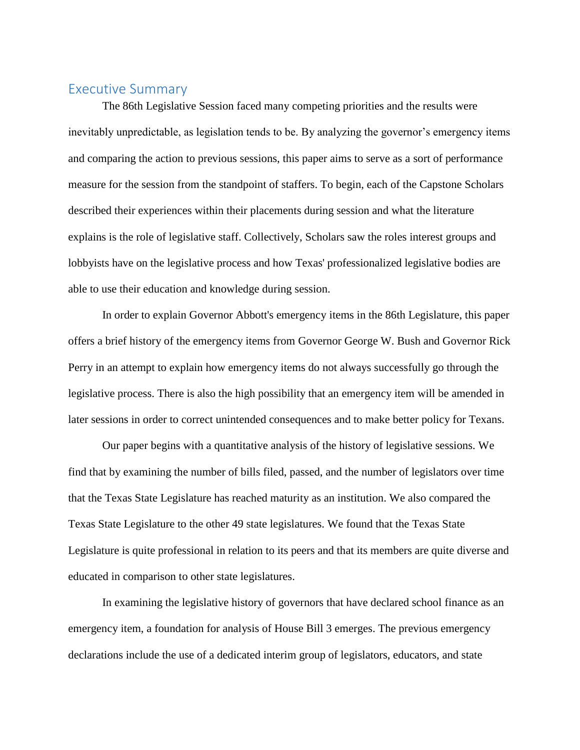## Executive Summary

The 86th Legislative Session faced many competing priorities and the results were inevitably unpredictable, as legislation tends to be. By analyzing the governor's emergency items and comparing the action to previous sessions, this paper aims to serve as a sort of performance measure for the session from the standpoint of staffers. To begin, each of the Capstone Scholars described their experiences within their placements during session and what the literature explains is the role of legislative staff. Collectively, Scholars saw the roles interest groups and lobbyists have on the legislative process and how Texas' professionalized legislative bodies are able to use their education and knowledge during session.

In order to explain Governor Abbott's emergency items in the 86th Legislature, this paper offers a brief history of the emergency items from Governor George W. Bush and Governor Rick Perry in an attempt to explain how emergency items do not always successfully go through the legislative process. There is also the high possibility that an emergency item will be amended in later sessions in order to correct unintended consequences and to make better policy for Texans.

Our paper begins with a quantitative analysis of the history of legislative sessions. We find that by examining the number of bills filed, passed, and the number of legislators over time that the Texas State Legislature has reached maturity as an institution. We also compared the Texas State Legislature to the other 49 state legislatures. We found that the Texas State Legislature is quite professional in relation to its peers and that its members are quite diverse and educated in comparison to other state legislatures.

In examining the legislative history of governors that have declared school finance as an emergency item, a foundation for analysis of House Bill 3 emerges. The previous emergency declarations include the use of a dedicated interim group of legislators, educators, and state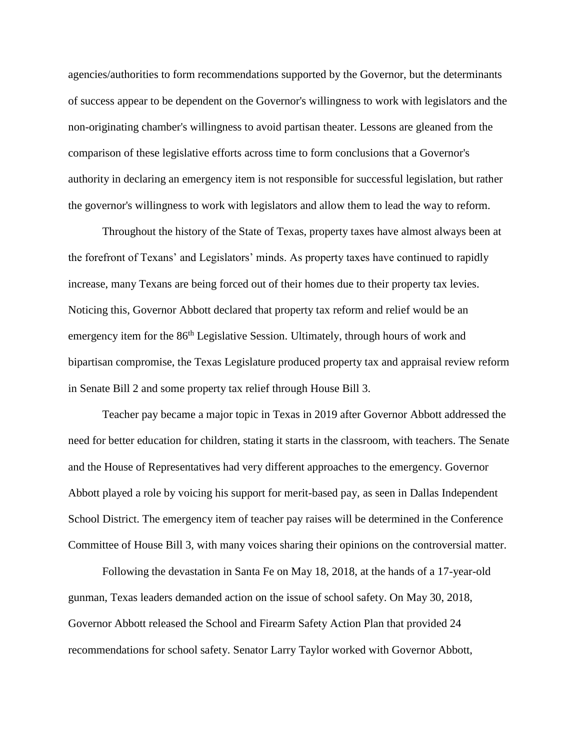agencies/authorities to form recommendations supported by the Governor, but the determinants of success appear to be dependent on the Governor's willingness to work with legislators and the non-originating chamber's willingness to avoid partisan theater. Lessons are gleaned from the comparison of these legislative efforts across time to form conclusions that a Governor's authority in declaring an emergency item is not responsible for successful legislation, but rather the governor's willingness to work with legislators and allow them to lead the way to reform.

Throughout the history of the State of Texas, property taxes have almost always been at the forefront of Texans' and Legislators' minds. As property taxes have continued to rapidly increase, many Texans are being forced out of their homes due to their property tax levies. Noticing this, Governor Abbott declared that property tax reform and relief would be an emergency item for the 86<sup>th</sup> Legislative Session. Ultimately, through hours of work and bipartisan compromise, the Texas Legislature produced property tax and appraisal review reform in Senate Bill 2 and some property tax relief through House Bill 3.

Teacher pay became a major topic in Texas in 2019 after Governor Abbott addressed the need for better education for children, stating it starts in the classroom, with teachers. The Senate and the House of Representatives had very different approaches to the emergency. Governor Abbott played a role by voicing his support for merit-based pay, as seen in Dallas Independent School District. The emergency item of teacher pay raises will be determined in the Conference Committee of House Bill 3, with many voices sharing their opinions on the controversial matter.

Following the devastation in Santa Fe on May 18, 2018, at the hands of a 17-year-old gunman, Texas leaders demanded action on the issue of school safety. On May 30, 2018, Governor Abbott released the School and Firearm Safety Action Plan that provided 24 recommendations for school safety. Senator Larry Taylor worked with Governor Abbott,